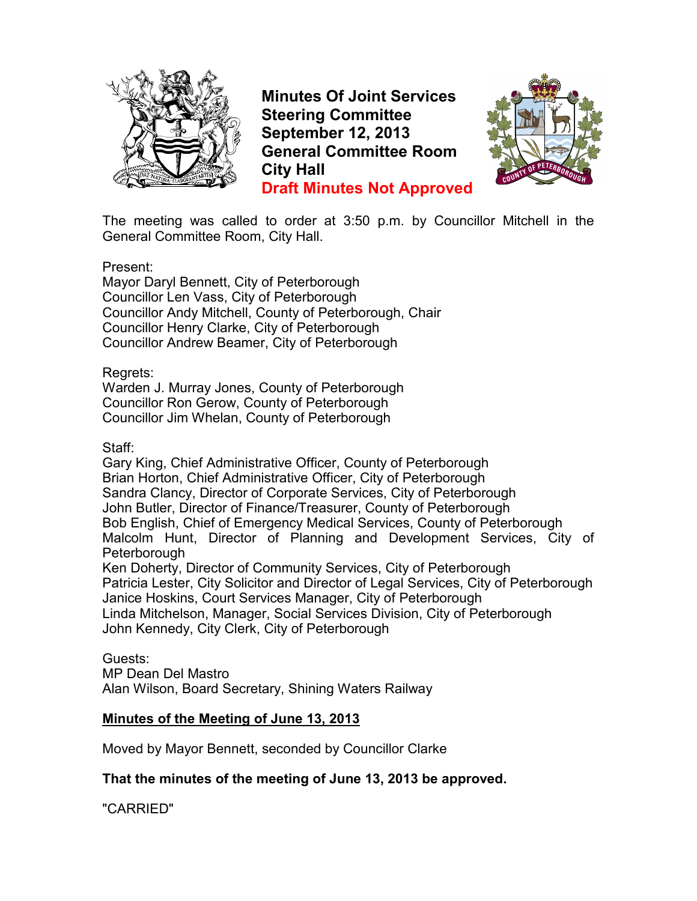

**Minutes Of Joint Services Steering Committee September 12, 2013 General Committee Room City Hall Draft Minutes Not Approved**



The meeting was called to order at 3:50 p.m. by Councillor Mitchell in the General Committee Room, City Hall.

Present:

Mayor Daryl Bennett, City of Peterborough Councillor Len Vass, City of Peterborough Councillor Andy Mitchell, County of Peterborough, Chair Councillor Henry Clarke, City of Peterborough Councillor Andrew Beamer, City of Peterborough

Regrets:

Warden J. Murray Jones, County of Peterborough Councillor Ron Gerow, County of Peterborough Councillor Jim Whelan, County of Peterborough

## Staff:

Gary King, Chief Administrative Officer, County of Peterborough Brian Horton, Chief Administrative Officer, City of Peterborough Sandra Clancy, Director of Corporate Services, City of Peterborough John Butler, Director of Finance/Treasurer, County of Peterborough Bob English, Chief of Emergency Medical Services, County of Peterborough Malcolm Hunt, Director of Planning and Development Services, City of **Peterborough** 

Ken Doherty, Director of Community Services, City of Peterborough Patricia Lester, City Solicitor and Director of Legal Services, City of Peterborough Janice Hoskins, Court Services Manager, City of Peterborough Linda Mitchelson, Manager, Social Services Division, City of Peterborough John Kennedy, City Clerk, City of Peterborough

## Guests:

MP Dean Del Mastro

Alan Wilson, Board Secretary, Shining Waters Railway

## **Minutes of the Meeting of June 13, 2013**

Moved by Mayor Bennett, seconded by Councillor Clarke

## **That the minutes of the meeting of June 13, 2013 be approved.**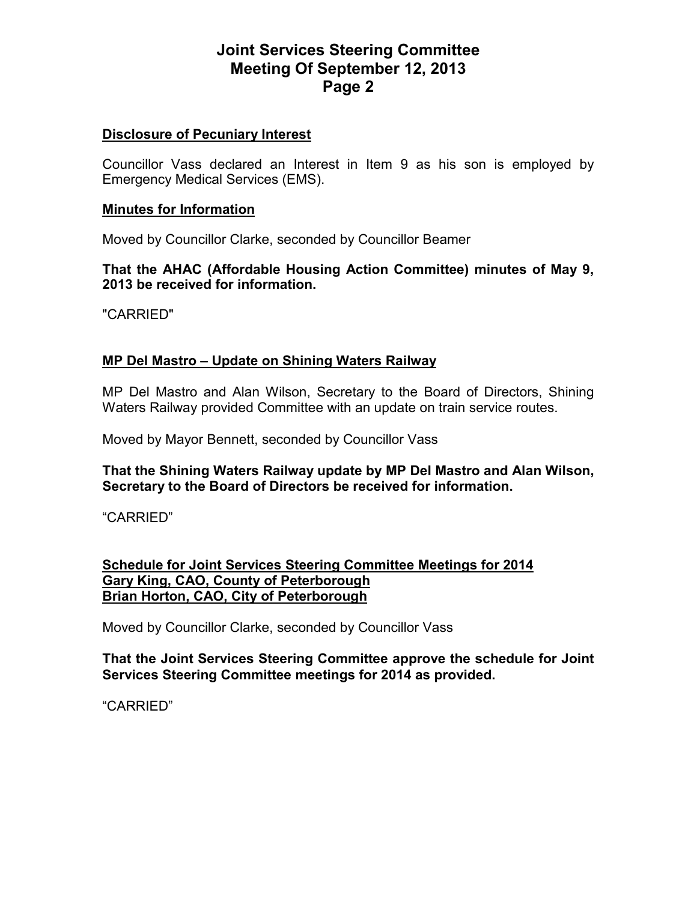## **Disclosure of Pecuniary Interest**

Councillor Vass declared an Interest in Item 9 as his son is employed by Emergency Medical Services (EMS).

#### **Minutes for Information**

Moved by Councillor Clarke, seconded by Councillor Beamer

**That the AHAC (Affordable Housing Action Committee) minutes of May 9, 2013 be received for information.** 

"CARRIED"

## **MP Del Mastro – Update on Shining Waters Railway**

MP Del Mastro and Alan Wilson, Secretary to the Board of Directors, Shining Waters Railway provided Committee with an update on train service routes.

Moved by Mayor Bennett, seconded by Councillor Vass

**That the Shining Waters Railway update by MP Del Mastro and Alan Wilson, Secretary to the Board of Directors be received for information.** 

"CARRIED"

## **Schedule for Joint Services Steering Committee Meetings for 2014 Gary King, CAO, County of Peterborough Brian Horton, CAO, City of Peterborough**

Moved by Councillor Clarke, seconded by Councillor Vass

**That the Joint Services Steering Committee approve the schedule for Joint Services Steering Committee meetings for 2014 as provided.**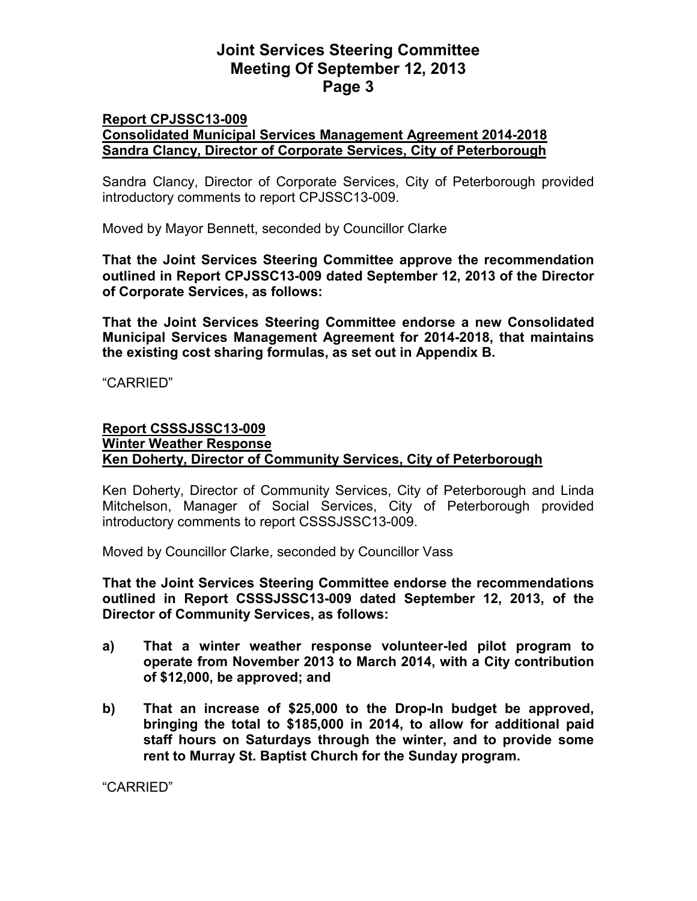#### **Report CPJSSC13-009 Consolidated Municipal Services Management Agreement 2014-2018 Sandra Clancy, Director of Corporate Services, City of Peterborough**

Sandra Clancy, Director of Corporate Services, City of Peterborough provided introductory comments to report CPJSSC13-009.

Moved by Mayor Bennett, seconded by Councillor Clarke

**That the Joint Services Steering Committee approve the recommendation outlined in Report CPJSSC13-009 dated September 12, 2013 of the Director of Corporate Services, as follows:** 

**That the Joint Services Steering Committee endorse a new Consolidated Municipal Services Management Agreement for 2014-2018, that maintains the existing cost sharing formulas, as set out in Appendix B.** 

"CARRIED"

#### **Report CSSSJSSC13-009 Winter Weather Response Ken Doherty, Director of Community Services, City of Peterborough**

Ken Doherty, Director of Community Services, City of Peterborough and Linda Mitchelson, Manager of Social Services, City of Peterborough provided introductory comments to report CSSSJSSC13-009.

Moved by Councillor Clarke, seconded by Councillor Vass

**That the Joint Services Steering Committee endorse the recommendations outlined in Report CSSSJSSC13-009 dated September 12, 2013, of the Director of Community Services, as follows:** 

- **a) That a winter weather response volunteer-led pilot program to operate from November 2013 to March 2014, with a City contribution of \$12,000, be approved; and**
- **b) That an increase of \$25,000 to the Drop-In budget be approved, bringing the total to \$185,000 in 2014, to allow for additional paid staff hours on Saturdays through the winter, and to provide some rent to Murray St. Baptist Church for the Sunday program.**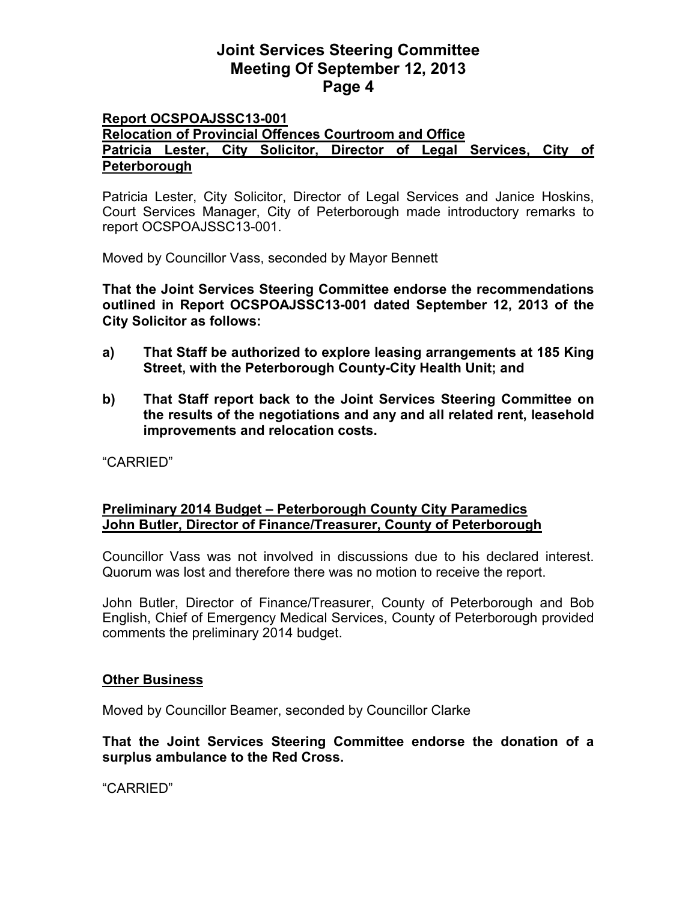#### **Report OCSPOAJSSC13-001 Relocation of Provincial Offences Courtroom and Office Patricia Lester, City Solicitor, Director of Legal Services, City of Peterborough**

Patricia Lester, City Solicitor, Director of Legal Services and Janice Hoskins, Court Services Manager, City of Peterborough made introductory remarks to report OCSPOAJSSC13-001.

Moved by Councillor Vass, seconded by Mayor Bennett

**That the Joint Services Steering Committee endorse the recommendations outlined in Report OCSPOAJSSC13-001 dated September 12, 2013 of the City Solicitor as follows:** 

- **a) That Staff be authorized to explore leasing arrangements at 185 King Street, with the Peterborough County-City Health Unit; and**
- **b) That Staff report back to the Joint Services Steering Committee on the results of the negotiations and any and all related rent, leasehold improvements and relocation costs.**

"CARRIED"

## **Preliminary 2014 Budget – Peterborough County City Paramedics John Butler, Director of Finance/Treasurer, County of Peterborough**

Councillor Vass was not involved in discussions due to his declared interest. Quorum was lost and therefore there was no motion to receive the report.

John Butler, Director of Finance/Treasurer, County of Peterborough and Bob English, Chief of Emergency Medical Services, County of Peterborough provided comments the preliminary 2014 budget.

## **Other Business**

Moved by Councillor Beamer, seconded by Councillor Clarke

**That the Joint Services Steering Committee endorse the donation of a surplus ambulance to the Red Cross.**